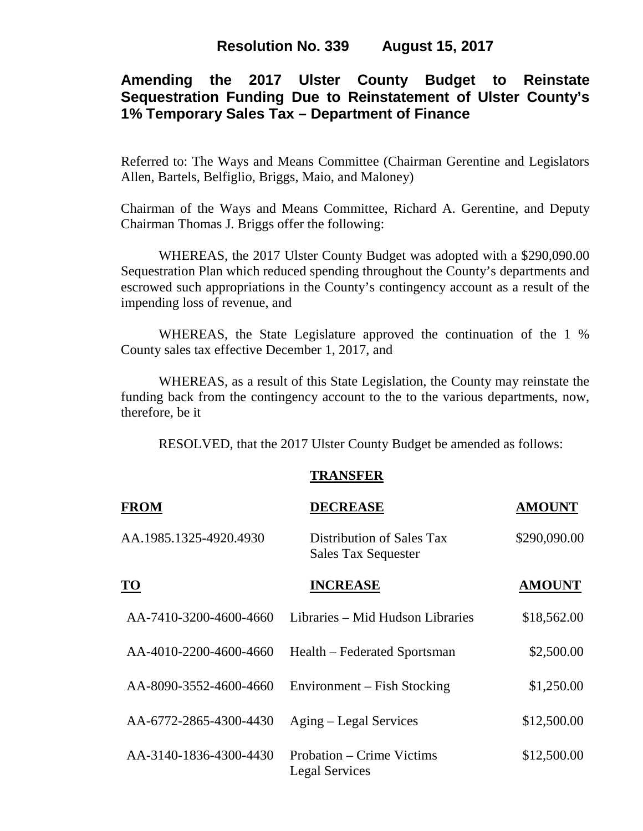### **Resolution No. 339 August 15, 2017**

# **Amending the 2017 Ulster County Budget to Reinstate Sequestration Funding Due to Reinstatement of Ulster County's 1% Temporary Sales Tax – Department of Finance**

Referred to: The Ways and Means Committee (Chairman Gerentine and Legislators Allen, Bartels, Belfiglio, Briggs, Maio, and Maloney)

Chairman of the Ways and Means Committee, Richard A. Gerentine, and Deputy Chairman Thomas J. Briggs offer the following:

WHEREAS, the 2017 Ulster County Budget was adopted with a \$290,090.00 Sequestration Plan which reduced spending throughout the County's departments and escrowed such appropriations in the County's contingency account as a result of the impending loss of revenue, and

WHEREAS, the State Legislature approved the continuation of the 1 % County sales tax effective December 1, 2017, and

WHEREAS, as a result of this State Legislation, the County may reinstate the funding back from the contingency account to the to the various departments, now, therefore, be it

RESOLVED, that the 2017 Ulster County Budget be amended as follows:

#### **TRANSFER**

| <b>FROM</b>               | <b>DECREASE</b>                                         | <b>AMOUNT</b> |
|---------------------------|---------------------------------------------------------|---------------|
| AA.1985.1325-4920.4930    | Distribution of Sales Tax<br><b>Sales Tax Sequester</b> | \$290,090.00  |
| $\underline{\mathbf{TO}}$ | <b>INCREASE</b>                                         | <b>AMOUNT</b> |
| AA-7410-3200-4600-4660    | Libraries – Mid Hudson Libraries                        | \$18,562.00   |
| AA-4010-2200-4600-4660    | Health – Federated Sportsman                            | \$2,500.00    |
| AA-8090-3552-4600-4660    | Environment – Fish Stocking                             | \$1,250.00    |
| AA-6772-2865-4300-4430    | Aging – Legal Services                                  | \$12,500.00   |
| AA-3140-1836-4300-4430    | Probation – Crime Victims<br><b>Legal Services</b>      | \$12,500.00   |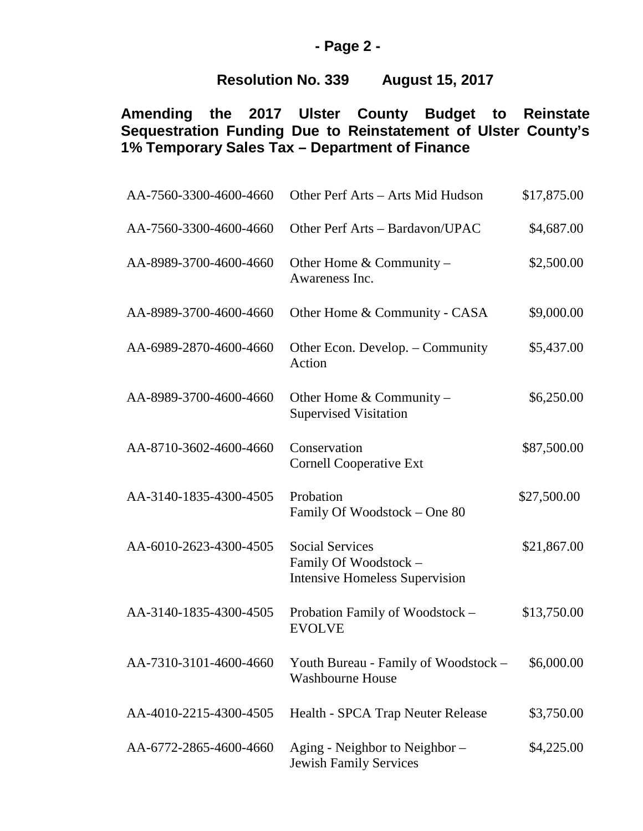# **- Page 2 -**

# **Resolution No. 339 August 15, 2017**

# **Amending the 2017 Ulster County Budget to Reinstate Sequestration Funding Due to Reinstatement of Ulster County's 1% Temporary Sales Tax – Department of Finance**

| AA-7560-3300-4600-4660 | Other Perf Arts - Arts Mid Hudson                                                        | \$17,875.00 |
|------------------------|------------------------------------------------------------------------------------------|-------------|
| AA-7560-3300-4600-4660 | Other Perf Arts - Bardavon/UPAC                                                          | \$4,687.00  |
| AA-8989-3700-4600-4660 | Other Home $&$ Community –<br>Awareness Inc.                                             | \$2,500.00  |
| AA-8989-3700-4600-4660 | Other Home & Community - CASA                                                            | \$9,000.00  |
| AA-6989-2870-4600-4660 | Other Econ. Develop. – Community<br>Action                                               | \$5,437.00  |
| AA-8989-3700-4600-4660 | Other Home $&$ Community –<br><b>Supervised Visitation</b>                               | \$6,250.00  |
| AA-8710-3602-4600-4660 | Conservation<br><b>Cornell Cooperative Ext</b>                                           | \$87,500.00 |
| AA-3140-1835-4300-4505 | Probation<br>Family Of Woodstock – One 80                                                | \$27,500.00 |
| AA-6010-2623-4300-4505 | <b>Social Services</b><br>Family Of Woodstock -<br><b>Intensive Homeless Supervision</b> | \$21,867.00 |
| AA-3140-1835-4300-4505 | Probation Family of Woodstock -<br><b>EVOLVE</b>                                         | \$13,750.00 |
| AA-7310-3101-4600-4660 | Youth Bureau - Family of Woodstock –<br><b>Washbourne House</b>                          | \$6,000.00  |
| AA-4010-2215-4300-4505 | Health - SPCA Trap Neuter Release                                                        | \$3,750.00  |
| AA-6772-2865-4600-4660 | Aging - Neighbor to Neighbor –<br><b>Jewish Family Services</b>                          | \$4,225.00  |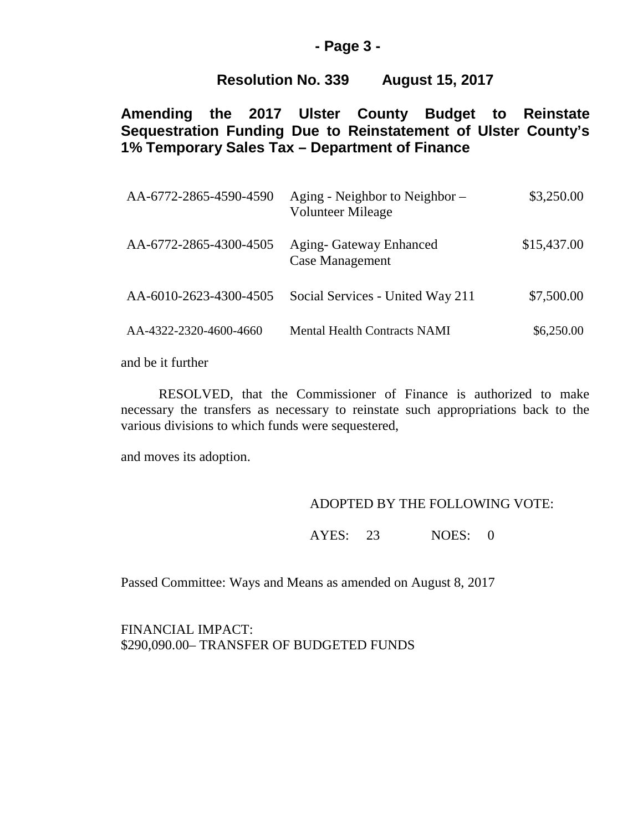#### **- Page 3 -**

## **Resolution No. 339 August 15, 2017**

**Amending the 2017 Ulster County Budget to Reinstate Sequestration Funding Due to Reinstatement of Ulster County's 1% Temporary Sales Tax – Department of Finance**

| Aging - Neighbor to Neighbor –<br><b>Volunteer Mileage</b> | \$3,250.00  |
|------------------------------------------------------------|-------------|
| <b>Aging- Gateway Enhanced</b><br><b>Case Management</b>   | \$15,437.00 |
| Social Services - United Way 211                           | \$7,500.00  |
| <b>Mental Health Contracts NAMI</b>                        | \$6,250.00  |
|                                                            |             |

and be it further

RESOLVED, that the Commissioner of Finance is authorized to make necessary the transfers as necessary to reinstate such appropriations back to the various divisions to which funds were sequestered,

and moves its adoption.

#### ADOPTED BY THE FOLLOWING VOTE:

AYES: 23 NOES: 0

Passed Committee: Ways and Means as amended on August 8, 2017

FINANCIAL IMPACT: \$290,090.00– TRANSFER OF BUDGETED FUNDS